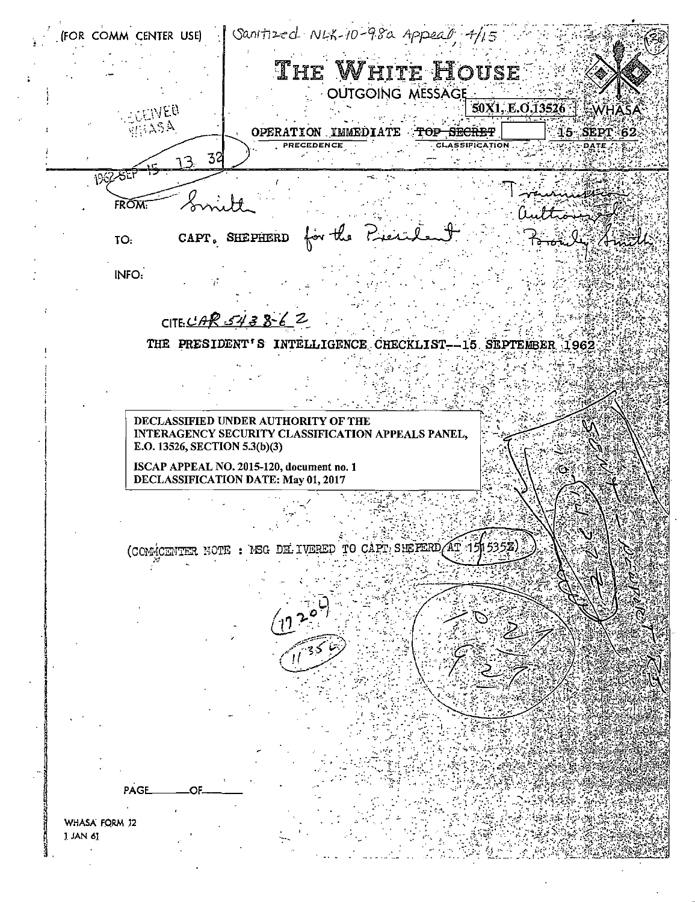(FOR COMM CENTER USE) Sanitized NLK-10-98a Appeal  $4/15$ THE WHITE HOUSE OUTGOING MESSAGE 50X1, E.O.13526 + EWHASA **ELEIVER**  $11.334$ OPERATION IMMEDIATE TOP SECRET 15 SEPT 62 PRECEDENCE CLASSIFICATION **DATE**  $195$ FRO<sub>W</sub> CAPT. SHEPHERD for the Pier -- TO:  $\cdot \cdot \cdot$ INFO, when  $\mathcal{L}^{\text{max}}_{\text{max}}$  is a set  $\mathcal{L}^{\text{max}}_{\text{max}}$  is a set  $\mathcal{L}^{\text{max}}_{\text{max}}$ .,· .. *i.*  CITE CAR 5438-62 THE PRESIDENT'S INTELLIGENCE CHECKLIST--15 SEPTEMBER 1962 -..  $~\sim$  ,  $\mathcal{L}$ .;~ DECLASSIFIED UNDER AUTHORITY OF THE INTERAGENCY SECURITY CLASSIFICATION APPEALS PANEL, E.O. 13526, SECTION 5.3(b)(3) ISCAP APPEAL NO. 2015-120, document no. 1 DECLASSIFICATION DATE: May 01, 2017 ·' -~~iJ:?':~ .~···, ··~ ..,.. iY~~-.'. *:;*.  $\begin{picture}(10,10) \put(0,0){\line(0,1){10}} \put(10,0){\line(0,1){10}} \put(10,0){\line(0,1){10}} \put(10,0){\line(0,1){10}} \put(10,0){\line(0,1){10}} \put(10,0){\line(0,1){10}} \put(10,0){\line(0,1){10}} \put(10,0){\line(0,1){10}} \put(10,0){\line(0,1){10}} \put(10,0){\line(0,1){10}} \put(10,0){\line(0,1){10}} \put(10,0){\line(0$ :;\_...-.:· -;~~ \~~~-.~f.~·- ···~·~·~··,,~,"""~=::::;:::::~.::  $\omega^{\cdot\cdot\cdot}$  :  $\mathbb{R}$  . .-'."";:::~-A • ., ·.·,  $($   $\frac{1}{2}$   $)$   $\frac{1}{2}$   $\frac{1}{2}$   $\frac{1}{2}$   $\frac{1}{2}$   $\frac{1}{2}$   $\frac{1}{2}$   $\frac{1}{2}$   $\frac{1}{2}$   $\frac{1}{2}$   $\frac{1}{2}$   $\frac{1}{2}$   $\frac{1}{2}$   $\frac{1}{2}$   $\frac{1}{2}$   $\frac{1}{2}$   $\frac{1}{2}$   $\frac{1}{2}$   $\frac{1}{2}$   $\frac{1}{2}$   $\frac{1}{2}$   $\frac$  $\mathbb{R}\times\mathbb{C}^1\times\mathbb{R}$  $\ldots$   $\ldots$ ...'• .. ..  $\mathcal{L}^{\bullet}$  $\cdot$  .  $\cdot$   $\cdot$   $\cdot$ PAGE\_\_\_\_\_\_\_OF  $\mathbb{C}$  is a subset of  $\mathbb{C}$ WHASA FQRM 12 l JAN *61*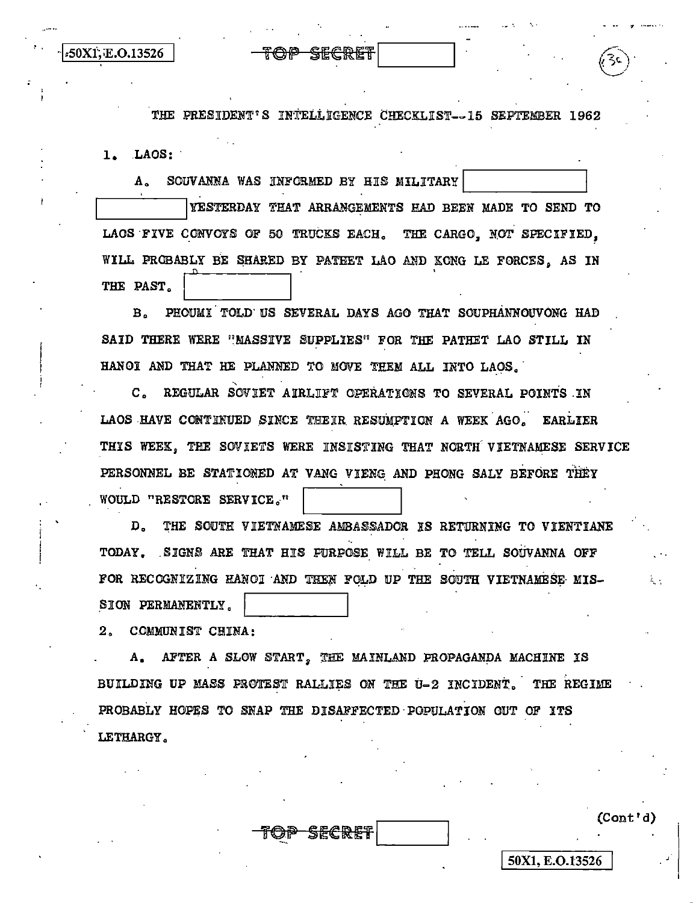50X1, E.O.13526

THE PRESIDENT'S INTELLIGENCE CHECKLIST--15 SEPTEMBER 1962  $1.$  LAOS:

A. SOUVANNA WAS INFORMED BY HIS MILITARY

<del>TOP SECRET</del>

YESTERDAY THAT ARRANGEMENTS HAD BEEN MADE TO SEND TO LAOS FIVE CONVOYS OF 50 TRUCKS EACH. THE CARGO, NOT SPECIFIED. WILL PROBABLY BE SHARED BY PATHET LAO AND KONG LE FORCES. AS IN THE PAST.

B. PHOUMI TOLD US SEVERAL DAYS AGO THAT SOUPHANNOUVONG HAD SAID THERE WERE "MASSIVE SUPPLIES" FOR THE PATHET LAO STILL IN HANOI AND THAT HE PLANNED TO MOVE THEM ALL INTO LAOS.

C. REGULAR SOVIET AIRLIFT OPERATIONS TO SEVERAL POINTS IN LAOS HAVE CONTINUED SINCE THEIR RESUMPTION A WEEK AGO. EARLIER THIS WEEK. THE SOVIETS WERE INSISTING THAT NORTH VIETNAMESE SERVICE PERSONNEL BE STATIONED AT VANG VIENG AND PHONG SALY BEFORE THEY WOULD "RESTORE SERVICE."

D. THE SOUTH VIETNAMESE AMBASSADOR IS RETURNING TO VIENTIANE TODAY. SIGNS ARE THAT HIS FURPOSE WILL BE TO TELL SOUVANNA OFF FOR RECOGNIZING HANOI AND THEN FOLD UP THE SOUTH VIETNAMESE MIS-SION PERMANENTLY.

2. COMMUNIST CHINA:

A. AFTER A SLOW START. THE MAINLAND PROPAGANDA MACHINE IS BUILDING UP MASS PROTEST RALLIES ON THE U-2 INCIDENT. THE REGIME PROBABLY HOPES TO SNAP THE DISAFFECTED POPULATION OUT OF ITS LETHARGY.

<del>op secret</del>

 $(Cont'd)$ 

50X1, E.O.13526

 $\mathbb{Z}_2$  .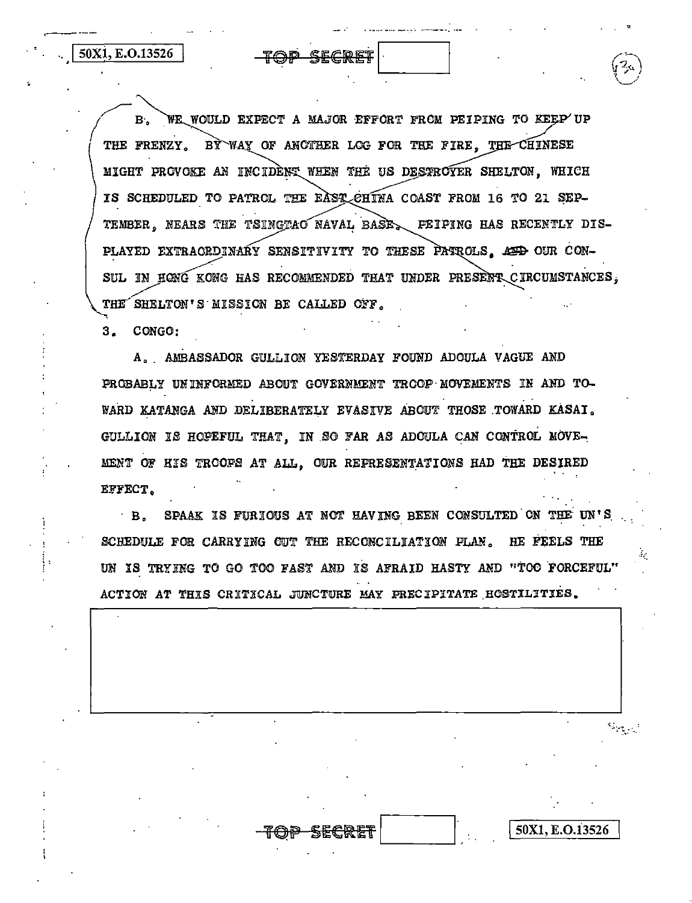50X1, E.O.13526

B. WE WOULD EXPECT A MAJOR EFFORT FROM PEIPING TO KEEP UP THE FRENZY. BY WAY OF ANOTHER LOG FOR THE FIRE, THE CHINESE MIGHT PROVOKE AN INCIDENT WHEN THE US DESTROYER SHELTON, WHICH IS SCHEDULED TO PATROL THE EAST CHINA COAST FROM 16 TO 21 SEP-TEMBER, NEARS THE TSINGTAO NAVAL BASE, PEIPING HAS RECENTLY DIS-PLAYED EXTRACRDINARY SENSITIVITY TO THESE PATROLS. AND OUR CON-SUL IN HONG KONG HAS RECOMMENDED THAT UNDER PRESENT CIRCUMSTANCES, THE SHELTON'S MISSION BE CALLED OFF.

3. CONGO:

A. AMBASSADOR GULLION YESTERDAY FOUND ADOULA VAGUE AND PROBABLY UNINFORMED ABOUT GOVERNMENT TROOP MOVEMENTS IN AND TO-WARD KATANGA AND DELIBERATELY EVASIVE ABOUT THOSE TOWARD KASAI. GULLION IS HOPEFUL THAT, IN SO FAR AS ADOULA CAN CONTROL MOVE-MENT OF HIS TROOPS AT ALL. OUR REPRESENTATIONS HAD THE DESIRED EFFECT.

SPAAK IS FURIOUS AT NOT HAVING BEEN CONSULTED ON THE UN'S  $\cdot$  B. SCHEDULE FOR CARRYING OUT THE RECONCILIATION PLAN. HE FEELS THE UN IS TRYING TO GO TOO FAST AND IS AFRAID HASTY AND "TOO FORCEFUL" ACTION AT THIS CRITICAL JUNCTURE MAY PRECIPITATE HOSTILITIES.

50X1, E.O.13526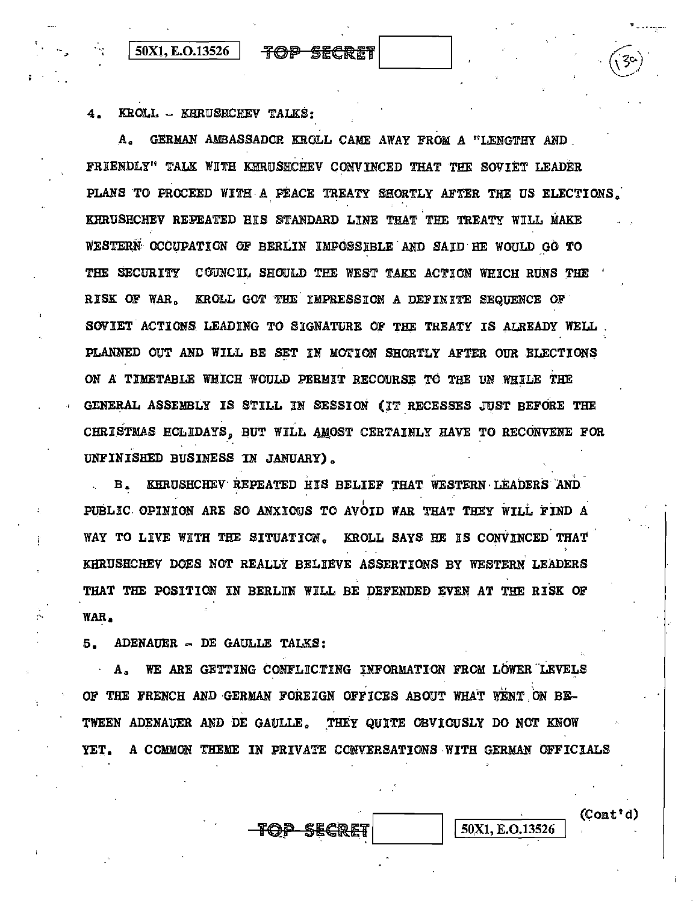## | 50X1, E.O.13526 | **TOP SECRET**

KROLL - KHRUSHCHEV TALKS:  $4.$ 

A. GERMAN AMBASSADOR KROLL CAME AWAY FROM A "LENGTHY AND FRIENDLY" TALK WITH KERUSHCHEV CONVINCED THAT THE SOVIET LEADER PLANS TO PROCEED WITH A PEACE TREATY SHORTLY AFTER THE US ELECTIONS. KHRUSHCHEV REPEATED HIS STANDARD LINE THAT THE TREATY WILL MAKE WESTERN OCCUPATION OF BERLIN IMPOSSIBLE AND SAID HE WOULD GO TO THE SECURITY COUNCIL SHOULD THE WEST TAKE ACTION WHICH RUNS THE RISK OF WAR, KROLL GOT THE IMPRESSION A DEFINITE SEQUENCE OF SOVIET ACTIONS LEADING TO SIGNATURE OF THE TREATY IS ALREADY WELL. PLANNED OUT AND WILL BE SET IN MOTION SHORTLY AFTER OUR ELECTIONS ON A TIMETABLE WHICH WOULD PERMIT RECOURSE TO THE UN WHILE THE GENERAL ASSEMBLY IS STILL IN SESSION (IT RECESSES JUST BEFORE THE CHRISTMAS HOLIDAYS, BUT WILL AMOST CERTAINLY HAVE TO RECONVENE FOR UNFINISHED BUSINESS IN JANUARY).

KHRUSHCHEV REPEATED HIS BELIEF THAT WESTERN LEADERS AND  $B_{\star}$ PUBLIC OPINION ARE SO ANXIOUS TO AVOID WAR THAT THEY WILL FIND A WAY TO LIVE WITH THE SITUATION. KROLL SAYS HE IS CONVINCED THAT KHRUSHCHEV DOES NOT REALLY BELIEVE ASSERTIONS BY WESTERN LEADERS THAT THE POSITION IN BERLIN WILL BE DEFENDED EVEN AT THE RISK OF WAR.

5. ADENAUER - DE GAULLE TALKS:

A. WE ARE GETTING CONFLICTING INFORMATION FROM LOWER LEVELS OF THE FRENCH AND GERMAN FOREIGN OFFICES ABOUT WHAT WENT ON BE-TWEEN ADENAUER AND DE GAULLE. THEY QUITE OBVIOUSLY DO NOT KNOW YET. A COMMON THEME IN PRIVATE CONVERSATIONS WITH GERMAN OFFICIALS

<del>top secret</del>

 $($ Cont'd $)$ 50X1, E.O.13526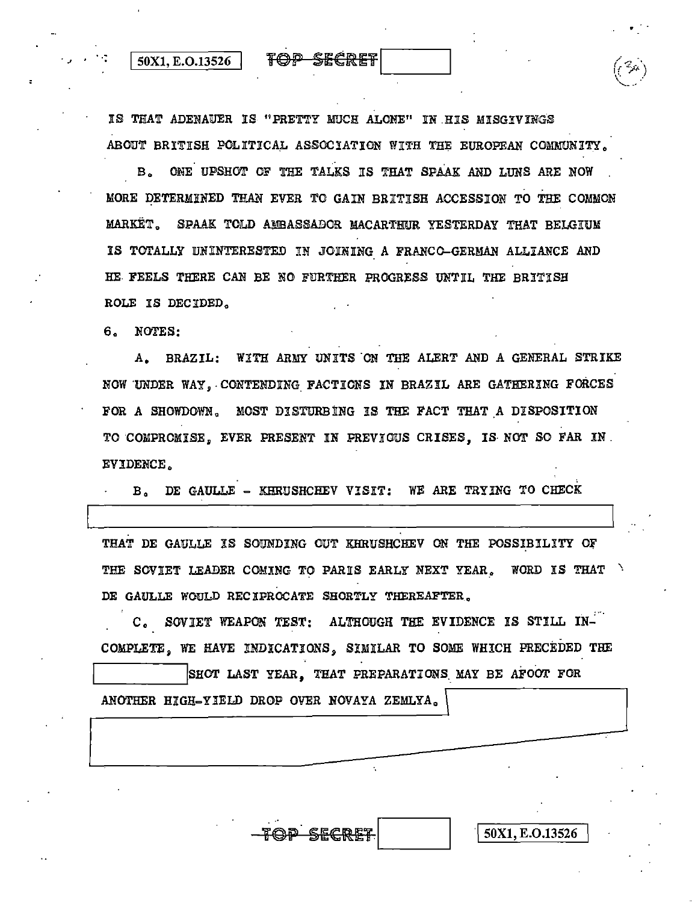## $|$  50X1, E.O.13526  $|$

IS THAT ADENAUER IS "PRETTY MUCH ALONE" IN HIS MISGIVINGS ABOUT BRITISH POLITICAL ASSOCIATION WITH THE EUROPEAN COMMUNITY.

TOP SECRET

B. ONE UPSHOT OF THE TALKS IS THAT SPAAK AND LUNS ARE NOW MORE DETERMINED THAN EVER TO GAIN BRITISH ACCESSION TO THE COMMON MARKET. SPAAK TOLD AMBASSADOR MACARTHUR YESTERDAY THAT BELGIUM IS TOTALLY UNINTERESTED IN JOINING A FRANCO-GERMAN ALLIANCE AND HE FEELS THERE CAN BE NO FURTHER PROGRESS UNTIL THE BRITISH ROLE IS DECIDED.

6. NOTES:

A. BRAZIL: WITH ARMY UNITS ON THE ALERT AND A GENERAL STRIKE NOW UNDER WAY. CONTENDING FACTIONS IN BRAZIL ARE GATHERING FORCES FOR A SHOWDOWN. MOST DISTURBING IS THE FACT THAT A DISPOSITION TO COMPROMISE, EVER PRESENT IN PREVIOUS CRISES, IS NOT SO FAR IN. EVIDENCE.

B. DE GAULLE - KHRUSHCHEV VISIT: WE ARE TRYING TO CHECK

THAT DE GAULLE IS SOUNDING OUT KHRUSHCHEV ON THE POSSIBILITY OF THE SOVIET LEADER COMING TO PARIS EARLY NEXT YEAR. WORD IS THAT DE GAULLE WOULD RECIPROCATE SHORTLY THEREAFTER.

C. SOVIET WEAPON TEST: ALTHOUGH THE EVIDENCE IS STILL IN-COMPLETE, WE HAVE INDICATIONS, SIMILAR TO SOME WHICH PRECEDED THE

SHOT LAST YEAR, THAT PREPARATIONS MAY BE AFOOT FOR

<del>TOP SECRET</del>

50X1, E.O.13526

ANOTHER HIGH-YIELD DROP OVER NOVAYA ZEMLYA.